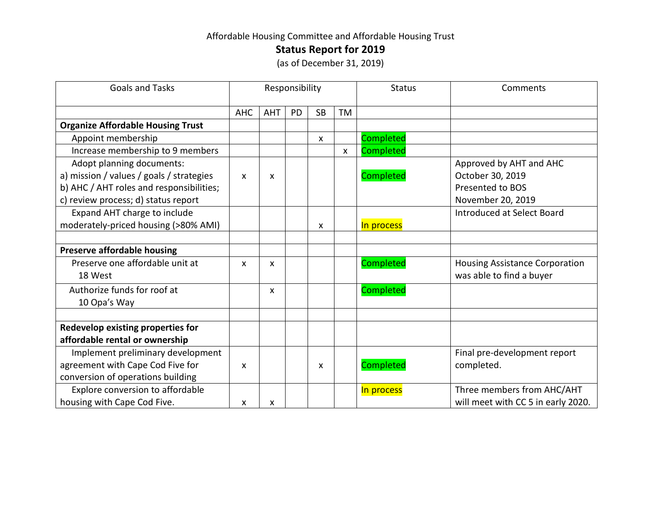## Affordable Housing Committee and Affordable Housing Trust

**Status Report for 2019**

(as of December 31, 2019)

| <b>Goals and Tasks</b>                   | Responsibility            |            |           |           |                           | <b>Status</b> | Comments                              |
|------------------------------------------|---------------------------|------------|-----------|-----------|---------------------------|---------------|---------------------------------------|
|                                          | <b>AHC</b>                | <b>AHT</b> | <b>PD</b> | <b>SB</b> | TM                        |               |                                       |
| <b>Organize Affordable Housing Trust</b> |                           |            |           |           |                           |               |                                       |
| Appoint membership                       |                           |            |           | X         |                           | Completed     |                                       |
| Increase membership to 9 members         |                           |            |           |           | $\boldsymbol{\mathsf{X}}$ | Completed     |                                       |
| Adopt planning documents:                |                           |            |           |           |                           |               | Approved by AHT and AHC               |
| a) mission / values / goals / strategies | $\boldsymbol{\mathsf{x}}$ | X          |           |           |                           | Completed     | October 30, 2019                      |
| b) AHC / AHT roles and responsibilities; |                           |            |           |           |                           |               | Presented to BOS                      |
| c) review process; d) status report      |                           |            |           |           |                           |               | November 20, 2019                     |
| Expand AHT charge to include             |                           |            |           |           |                           |               | Introduced at Select Board            |
| moderately-priced housing (>80% AMI)     |                           |            |           | X         |                           | In process    |                                       |
|                                          |                           |            |           |           |                           |               |                                       |
| Preserve affordable housing              |                           |            |           |           |                           |               |                                       |
| Preserve one affordable unit at          | X                         | X          |           |           |                           | Completed     | <b>Housing Assistance Corporation</b> |
| 18 West                                  |                           |            |           |           |                           |               | was able to find a buyer              |
| Authorize funds for roof at              |                           | X          |           |           |                           | Completed     |                                       |
| 10 Opa's Way                             |                           |            |           |           |                           |               |                                       |
|                                          |                           |            |           |           |                           |               |                                       |
| Redevelop existing properties for        |                           |            |           |           |                           |               |                                       |
| affordable rental or ownership           |                           |            |           |           |                           |               |                                       |
| Implement preliminary development        |                           |            |           |           |                           |               | Final pre-development report          |
| agreement with Cape Cod Five for         | X                         |            |           | X         |                           | Completed     | completed.                            |
| conversion of operations building        |                           |            |           |           |                           |               |                                       |
| Explore conversion to affordable         |                           |            |           |           |                           | In process    | Three members from AHC/AHT            |
| housing with Cape Cod Five.              | X                         | X          |           |           |                           |               | will meet with CC 5 in early 2020.    |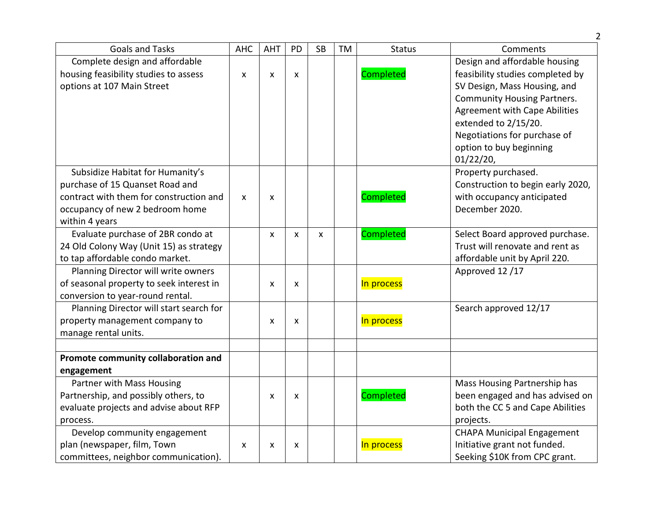|                                          |            |                           |                           |           |           |                  | 2                                    |
|------------------------------------------|------------|---------------------------|---------------------------|-----------|-----------|------------------|--------------------------------------|
| <b>Goals and Tasks</b>                   | <b>AHC</b> | <b>AHT</b>                | PD                        | <b>SB</b> | <b>TM</b> | <b>Status</b>    | Comments                             |
| Complete design and affordable           |            |                           |                           |           |           |                  | Design and affordable housing        |
| housing feasibility studies to assess    | X          | X                         | $\mathsf{x}$              |           |           | Completed        | feasibility studies completed by     |
| options at 107 Main Street               |            |                           |                           |           |           |                  | SV Design, Mass Housing, and         |
|                                          |            |                           |                           |           |           |                  | <b>Community Housing Partners.</b>   |
|                                          |            |                           |                           |           |           |                  | <b>Agreement with Cape Abilities</b> |
|                                          |            |                           |                           |           |           |                  | extended to 2/15/20.                 |
|                                          |            |                           |                           |           |           |                  | Negotiations for purchase of         |
|                                          |            |                           |                           |           |           |                  | option to buy beginning              |
|                                          |            |                           |                           |           |           |                  | 01/22/20,                            |
| Subsidize Habitat for Humanity's         |            |                           |                           |           |           |                  | Property purchased.                  |
| purchase of 15 Quanset Road and          |            |                           |                           |           |           |                  | Construction to begin early 2020,    |
| contract with them for construction and  | X          | $\boldsymbol{\mathsf{x}}$ |                           |           |           | <b>Completed</b> | with occupancy anticipated           |
| occupancy of new 2 bedroom home          |            |                           |                           |           |           |                  | December 2020.                       |
| within 4 years                           |            |                           |                           |           |           |                  |                                      |
| Evaluate purchase of 2BR condo at        |            | $\boldsymbol{\mathsf{x}}$ | $\boldsymbol{\mathsf{x}}$ | X         |           | Completed        | Select Board approved purchase.      |
| 24 Old Colony Way (Unit 15) as strategy  |            |                           |                           |           |           |                  | Trust will renovate and rent as      |
| to tap affordable condo market.          |            |                           |                           |           |           |                  | affordable unit by April 220.        |
| Planning Director will write owners      |            |                           |                           |           |           |                  | Approved 12/17                       |
| of seasonal property to seek interest in |            | X                         | X                         |           |           | In process       |                                      |
| conversion to year-round rental.         |            |                           |                           |           |           |                  |                                      |
| Planning Director will start search for  |            |                           |                           |           |           |                  | Search approved 12/17                |
| property management company to           |            | X                         | X                         |           |           | In process       |                                      |
| manage rental units.                     |            |                           |                           |           |           |                  |                                      |
|                                          |            |                           |                           |           |           |                  |                                      |
| Promote community collaboration and      |            |                           |                           |           |           |                  |                                      |
| engagement                               |            |                           |                           |           |           |                  |                                      |
| Partner with Mass Housing                |            |                           |                           |           |           |                  | Mass Housing Partnership has         |
| Partnership, and possibly others, to     |            | X                         | X                         |           |           | Completed        | been engaged and has advised on      |
| evaluate projects and advise about RFP   |            |                           |                           |           |           |                  | both the CC 5 and Cape Abilities     |
| process.                                 |            |                           |                           |           |           |                  | projects.                            |
| Develop community engagement             |            |                           |                           |           |           |                  | <b>CHAPA Municipal Engagement</b>    |
| plan (newspaper, film, Town              | X          | X                         | X                         |           |           | In process       | Initiative grant not funded.         |
| committees, neighbor communication).     |            |                           |                           |           |           |                  | Seeking \$10K from CPC grant.        |